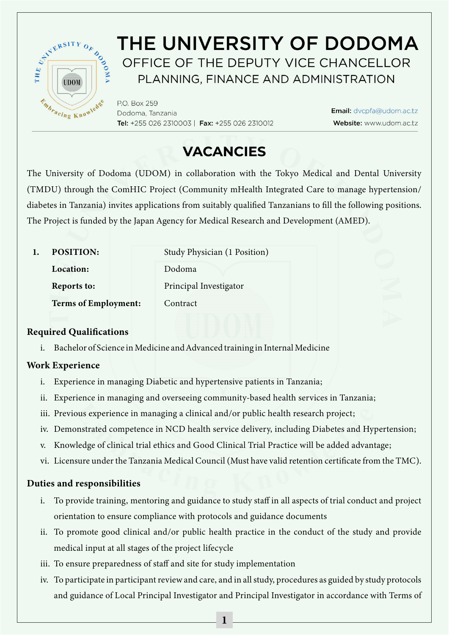

# THE UNIVERSITY OF DODOMA OFFICE OF THE DEPUTY VICE CHANCELLOR PLANNING, FINANCE AND ADMINISTRATION

P.O. Box 259 Dodoma, Tanzania Tel: +255 026 2310003 | Fax: +255 026 2310012

Email: dvcpfa@udom.ac.tz Website: www.udom.ac.tz

# **VACANCIES**

The University of Dodoma (UDOM) in collaboration with the Tokyo Medical and Dental University (TMDU) through the ComHIC Project (Community mHealth Integrated Care to manage hypertension/ diabetes in Tanzania) invites applications from suitably qualified Tanzanians to fill the following positions. The Project is funded by the Japan Agency for Medical Research and Development (AMED).

| <b>POSITION:</b>            | Study Physician (1 Position) |
|-----------------------------|------------------------------|
| Location:                   | Dodoma                       |
| Reports to:                 | Principal Investigator       |
| <b>Terms of Employment:</b> | Contract                     |

# Required Qualifications

i. Bachelor of Science in Medicine and Advanced training in Internal Medicine

# Work Experience

- i. Experience in managing Diabetic and hypertensive patients in Tanzania;
- ii. Experience in managing and overseeing community-based health services in Tanzania;
- iii. Previous experience in managing a clinical and/or public health research project;
- iv. Demonstrated competence in NCD health service delivery, including Diabetes and Hypertension;
- v. Knowledge of clinical trial ethics and Good Clinical Trial Practice will be added advantage;
- vi. Licensure under the Tanzania Medical Council (Must have valid retention certificate from the TMC).

## Duties and responsibilities

- i. To provide training, mentoring and guidance to study staff in all aspects of trial conduct and project orientation to ensure compliance with protocols and guidance documents
- ii. To promote good clinical and/or public health practice in the conduct of the study and provide medical input at all stages of the project lifecycle
- iii. To ensure preparedness of staff and site for study implementation
- iv. To participate in participant review and care, and in all study, procedures as guided by study protocols and guidance of Local Principal Investigator and Principal Investigator in accordance with Terms of

1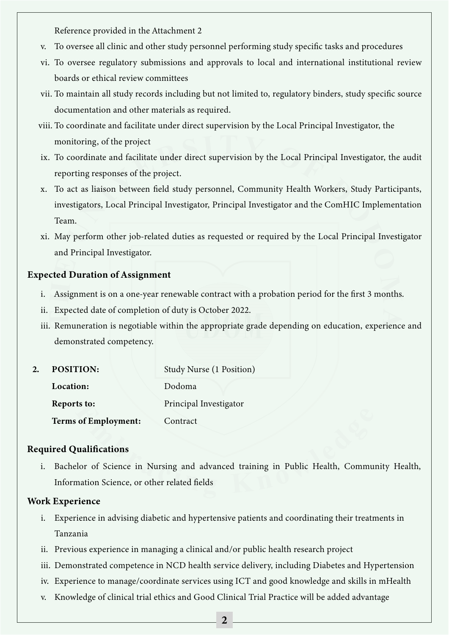Reference provided in the Attachment 2

- v. To oversee all clinic and other study personnel performing study specific tasks and procedures
- vi. To oversee regulatory submissions and approvals to local and international institutional review boards or ethical review committees
- vii. To maintain all study records including but not limited to, regulatory binders, study specific source documentation and other materials as required.
- viii. To coordinate and facilitate under direct supervision by the Local Principal Investigator, the monitoring, of the project
- ix. To coordinate and facilitate under direct supervision by the Local Principal Investigator, the audit reporting responses of the project.
- x. To act as liaison between field study personnel, Community Health Workers, Study Participants, investigators, Local Principal Investigator, Principal Investigator and the ComHIC Implementation Team.
- xi. May perform other job-related duties as requested or required by the Local Principal Investigator and Principal Investigator.

## Expected Duration of Assignment

- i. Assignment is on a one-year renewable contract with a probation period for the first 3 months.
- ii. Expected date of completion of duty is October 2022.
- iii. Remuneration is negotiable within the appropriate grade depending on education, experience and demonstrated competency.

| 2. | <b>POSITION:</b>            | Study Nurse (1 Position) |
|----|-----------------------------|--------------------------|
|    | Location:                   | Dodoma                   |
|    | Reports to:                 | Principal Investigator   |
|    | <b>Terms of Employment:</b> | Contract                 |

## Required Qualifications

i. Bachelor of Science in Nursing and advanced training in Public Health, Community Health, Information Science, or other related fields

## Work Experience

- i. Experience in advising diabetic and hypertensive patients and coordinating their treatments in Tanzania
- ii. Previous experience in managing a clinical and/or public health research project
- iii. Demonstrated competence in NCD health service delivery, including Diabetes and Hypertension
- iv. Experience to manage/coordinate services using ICT and good knowledge and skills in mHealth
- v. Knowledge of clinical trial ethics and Good Clinical Trial Practice will be added advantage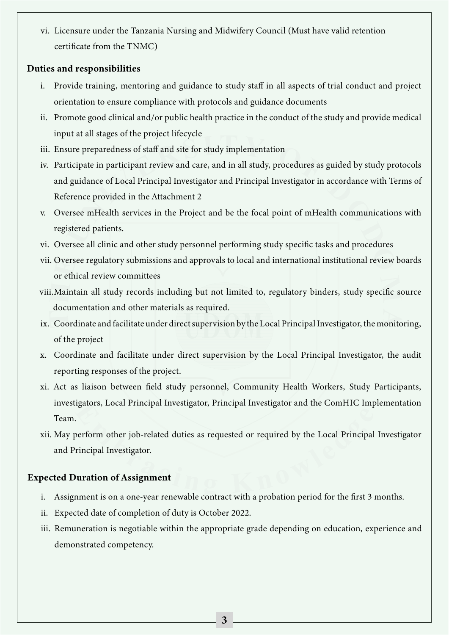vi. Licensure under the Tanzania Nursing and Midwifery Council (Must have valid retention certificate from the TNMC)

## Duties and responsibilities

- i. Provide training, mentoring and guidance to study staff in all aspects of trial conduct and project orientation to ensure compliance with protocols and guidance documents
- ii. Promote good clinical and/or public health practice in the conduct of the study and provide medical input at all stages of the project lifecycle
- iii. Ensure preparedness of staff and site for study implementation
- iv. Participate in participant review and care, and in all study, procedures as guided by study protocols and guidance of Local Principal Investigator and Principal Investigator in accordance with Terms of Reference provided in the Attachment 2
- v. Oversee mHealth services in the Project and be the focal point of mHealth communications with registered patients.
- vi. Oversee all clinic and other study personnel performing study specific tasks and procedures
- vii. Oversee regulatory submissions and approvals to local and international institutional review boards or ethical review committees
- viii.Maintain all study records including but not limited to, regulatory binders, study specific source documentation and other materials as required.
- ix. Coordinate and facilitate under direct supervision by the Local Principal Investigator, the monitoring, of the project
- x. Coordinate and facilitate under direct supervision by the Local Principal Investigator, the audit reporting responses of the project.
- xi. Act as liaison between field study personnel, Community Health Workers, Study Participants, investigators, Local Principal Investigator, Principal Investigator and the ComHIC Implementation Team.
- xii. May perform other job-related duties as requested or required by the Local Principal Investigator and Principal Investigator.

## Expected Duration of Assignment

- i. Assignment is on a one-year renewable contract with a probation period for the first 3 months.
- ii. Expected date of completion of duty is October 2022.
- iii. Remuneration is negotiable within the appropriate grade depending on education, experience and demonstrated competency.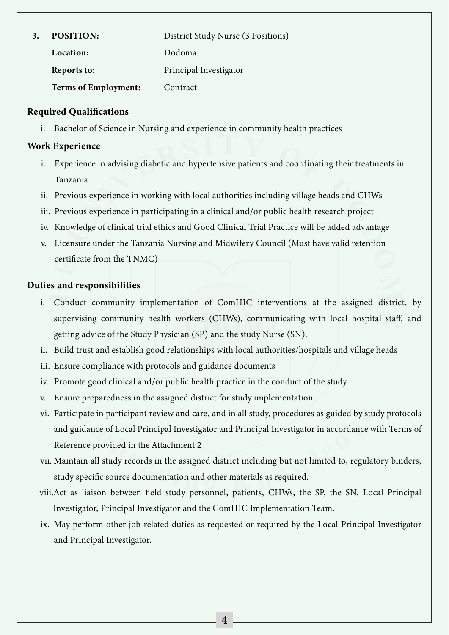| 3. | <b>POSITION:</b>            | District Study Nurse (3 Positions) |
|----|-----------------------------|------------------------------------|
|    | Location:                   | Dodoma                             |
|    | Reports to:                 | Principal Investigator             |
|    | <b>Terms of Employment:</b> | Contract                           |

### Required Qualifications

i. Bachelor of Science in Nursing and experience in community health practices

#### Work Experience

- i. Experience in advising diabetic and hypertensive patients and coordinating their treatments in Tanzania
- ii. Previous experience in working with local authorities including village heads and CHWs
- iii. Previous experience in participating in a clinical and/or public health research project
- iv. Knowledge of clinical trial ethics and Good Clinical Trial Practice will be added advantage
- v. Licensure under the Tanzania Nursing and Midwifery Council (Must have valid retention certificate from the TNMC)

#### Duties and responsibilities

- i. Conduct community implementation of ComHIC interventions at the assigned district, by supervising community health workers (CHWs), communicating with local hospital staff, and getting advice of the Study Physician (SP) and the study Nurse (SN).
- ii. Build trust and establish good relationships with local authorities/hospitals and village heads
- iii. Ensure compliance with protocols and guidance documents
- iv. Promote good clinical and/or public health practice in the conduct of the study
- v. Ensure preparedness in the assigned district for study implementation
- vi. Participate in participant review and care, and in all study, procedures as guided by study protocols and guidance of Local Principal Investigator and Principal Investigator in accordance with Terms of Reference provided in the Attachment 2
- vii. Maintain all study records in the assigned district including but not limited to, regulatory binders, study specific source documentation and other materials as required.
- viii.Act as liaison between field study personnel, patients, CHWs, the SP, the SN, Local Principal Investigator, Principal Investigator and the ComHIC Implementation Team.
- ix. May perform other job-related duties as requested or required by the Local Principal Investigator and Principal Investigator.